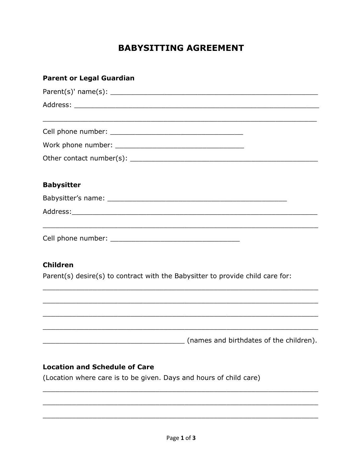# **BABYSITTING AGREEMENT**

| <b>Parent or Legal Guardian</b>                                                                   |
|---------------------------------------------------------------------------------------------------|
|                                                                                                   |
|                                                                                                   |
|                                                                                                   |
|                                                                                                   |
|                                                                                                   |
| <b>Babysitter</b>                                                                                 |
|                                                                                                   |
|                                                                                                   |
|                                                                                                   |
| <b>Children</b><br>Parent(s) desire(s) to contract with the Babysitter to provide child care for: |
|                                                                                                   |
|                                                                                                   |
| (names and birthdates of the children).                                                           |
| <b>Location and Schedule of Care</b>                                                              |
| (Location where care is to be given. Days and hours of child care)                                |
|                                                                                                   |
|                                                                                                   |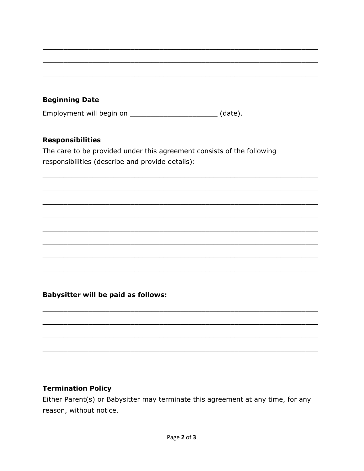# **Beginning Date**

Employment will begin on \_\_\_\_\_\_\_\_\_\_\_\_\_\_\_\_\_\_\_\_\_\_\_\_(date).

### **Responsibilities**

The care to be provided under this agreement consists of the following responsibilities (describe and provide details):

# **Babysitter will be paid as follows:**

#### **Termination Policy**

Either Parent(s) or Babysitter may terminate this agreement at any time, for any reason, without notice.